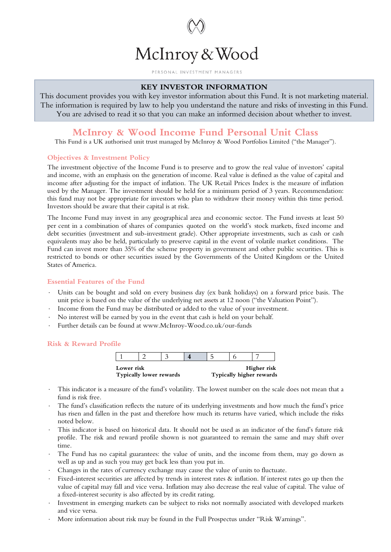

#### PERSONAL INVESTMENT MANAGERS

# **KEY INVESTOR INFORMATION**

This document provides you with key investor information about this Fund. It is not marketing material. The information is required by law to help you understand the nature and risks of investing in this Fund. You are advised to read it so that you can make an informed decision about whether to invest.

# **McInroy & Wood Income Fund Personal Unit Class**

This Fund is a UK authorised unit trust managed by McInroy & Wood Portfolios Limited ("the Manager").

# **Objectives & Investment Policy**

The investment objective of the Income Fund is to preserve and to grow the real value of investors' capital and income, with an emphasis on the generation of income. Real value is defined as the value of capital and income after adjusting for the impact of inflation. The UK Retail Prices Index is the measure of inflation used by the Manager. The investment should be held for a minimum period of 3 years. Recommendation: this fund may not be appropriate for investors who plan to withdraw their money within this time period. Investors should be aware that their capital is at risk.

The Income Fund may invest in any geographical area and economic sector. The Fund invests at least 50 per cent in a combination of shares of companies quoted on the world's stock markets, fixed income and debt securities (investment and sub-investment grade). Other appropriate investments, such as cash or cash equivalents may also be held, particularly to preserve capital in the event of volatile market conditions. The Fund can invest more than 35% of the scheme property in government and other public securities. This is restricted to bonds or other securities issued by the Governments of the United Kingdom or the United States of America.

# **Essential Features of the Fund**

- ⋅ Units can be bought and sold on every business day (ex bank holidays) on a forward price basis. The unit price is based on the value of the underlying net assets at 12 noon ("the Valuation Point").
- Income from the Fund may be distributed or added to the value of your investment.
- No interest will be earned by you in the event that cash is held on your behalf.
- ⋅ Further details can be found at www.McInroy-Wood.co.uk/our-funds

#### **Risk & Reward Profile**

| Lower risk<br>Typically lower rewards |  |  | Higher risk<br>Typically higher rewards |  |  |  |
|---------------------------------------|--|--|-----------------------------------------|--|--|--|
|                                       |  |  |                                         |  |  |  |

- This indicator is a measure of the fund's volatility. The lowest number on the scale does not mean that a fund is risk free.
- ⋅ The fund's classification reflects the nature of its underlying investments and how much the fund's price has risen and fallen in the past and therefore how much its returns have varied, which include the risks noted below.
- This indicator is based on historical data. It should not be used as an indicator of the fund's future risk profile. The risk and reward profile shown is not guaranteed to remain the same and may shift over time.
- The Fund has no capital guarantees: the value of units, and the income from them, may go down as well as up and as such you may get back less than you put in.
- Changes in the rates of currency exchange may cause the value of units to fluctuate.
- Fixed-interest securities are affected by trends in interest rates  $\&$  inflation. If interest rates go up then the value of capital may fall and vice versa. Inflation may also decrease the real value of capital. The value of a fixed-interest security is also affected by its credit rating.
- Investment in emerging markets can be subject to risks not normally associated with developed markets and vice versa.
- ⋅ More information about risk may be found in the Full Prospectus under "Risk Warnings".